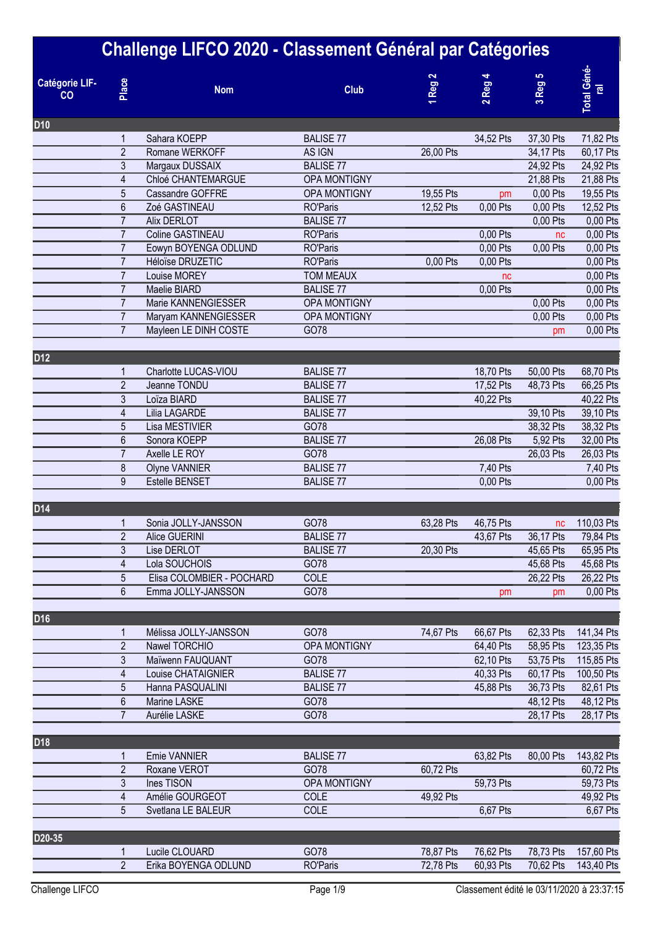| <b>Catégorie LIF-</b><br>CO <sub>2</sub> | Place            | Challenge LIFCO 2020 - Classement Général par Catégories<br><b>Nom</b> | <b>Club</b>      | Reg <sub>2</sub> | 2 Reg     | 3 Reg 5   | <b>Total Géné</b><br>$\overline{e}$ |
|------------------------------------------|------------------|------------------------------------------------------------------------|------------------|------------------|-----------|-----------|-------------------------------------|
| D <sub>10</sub>                          |                  |                                                                        |                  |                  |           |           |                                     |
|                                          | 1                | Sahara KOEPP                                                           | <b>BALISE 77</b> |                  | 34,52 Pts | 37,30 Pts | 71,82 Pts                           |
|                                          | $\overline{2}$   | Romane WERKOFF                                                         | AS IGN           | 26,00 Pts        |           | 34,17 Pts | 60,17 Pts                           |
|                                          | 3                | Margaux DUSSAIX                                                        | <b>BALISE 77</b> |                  |           | 24,92 Pts | 24,92 Pts                           |
|                                          | 4                | Chloé CHANTEMARGUE                                                     | OPA MONTIGNY     |                  |           | 21,88 Pts | 21,88 Pts                           |
|                                          | $\overline{5}$   | Cassandre GOFFRE                                                       | OPA MONTIGNY     | 19,55 Pts        | pm        | 0,00 Pts  | 19,55 Pts                           |
|                                          | $6\phantom{.}6$  | Zoé GASTINEAU                                                          | <b>RO'Paris</b>  | 12,52 Pts        | 0,00 Pts  | 0,00 Pts  | 12,52 Pts                           |
|                                          | $\overline{7}$   | Alix DERLOT                                                            | <b>BALISE 77</b> |                  |           | 0,00 Pts  | 0,00 Pts                            |
|                                          | $\overline{7}$   | Coline GASTINEAU                                                       | <b>RO'Paris</b>  |                  | 0,00 Pts  | nc        | 0,00 Pts                            |
|                                          | $\overline{7}$   | Eowyn BOYENGA ODLUND                                                   | <b>RO'Paris</b>  |                  | 0,00 Pts  | 0,00 Pts  | 0,00 Pts                            |
|                                          | $\overline{7}$   | Héloïse DRUZETIC                                                       | <b>RO'Paris</b>  | 0,00 Pts         | 0,00 Pts  |           | 0,00 Pts                            |
|                                          | $\overline{7}$   | Louise MOREY                                                           | <b>TOM MEAUX</b> |                  | nc        |           | 0,00 Pts                            |
|                                          | $\overline{7}$   | Maelie BIARD                                                           | <b>BALISE 77</b> |                  | 0,00 Pts  |           | 0,00 Pts                            |
|                                          | $\overline{7}$   | Marie KANNENGIESSER                                                    | OPA MONTIGNY     |                  |           | 0,00 Pts  | 0,00 Pts                            |
|                                          | $\overline{7}$   | Maryam KANNENGIESSER                                                   | OPA MONTIGNY     |                  |           | 0,00 Pts  | 0,00 Pts                            |
|                                          | $\overline{7}$   | Mayleen LE DINH COSTE                                                  | GO78             |                  |           |           | 0,00 Pts                            |
|                                          |                  |                                                                        |                  |                  |           | рm        |                                     |
| D12                                      |                  |                                                                        |                  |                  |           |           |                                     |
|                                          | 1                | Charlotte LUCAS-VIOU                                                   | <b>BALISE 77</b> |                  | 18,70 Pts | 50,00 Pts | 68,70 Pts                           |
|                                          | $\overline{2}$   | Jeanne TONDU                                                           | <b>BALISE 77</b> |                  | 17,52 Pts | 48,73 Pts | 66,25 Pts                           |
|                                          | 3                | Loïza BIARD                                                            | <b>BALISE 77</b> |                  | 40,22 Pts |           | 40,22 Pts                           |
|                                          | 4                | Lilia LAGARDE                                                          | <b>BALISE 77</b> |                  |           | 39,10 Pts | 39,10 Pts                           |
|                                          | $\overline{5}$   | Lisa MESTIVIER                                                         | GO78             |                  |           | 38,32 Pts | 38,32 Pts                           |
|                                          | 6                | Sonora KOEPP                                                           | <b>BALISE 77</b> |                  | 26,08 Pts | 5,92 Pts  | 32,00 Pts                           |
|                                          | $\overline{7}$   | Axelle LE ROY                                                          | GO78             |                  |           | 26,03 Pts | 26,03 Pts                           |
|                                          | 8                | Olyne VANNIER                                                          | <b>BALISE 77</b> |                  | 7,40 Pts  |           | 7,40 Pts                            |
|                                          | 9                | Estelle BENSET                                                         | <b>BALISE 77</b> |                  | 0,00 Pts  |           | 0,00 Pts                            |
| D14                                      |                  |                                                                        |                  |                  |           |           |                                     |
|                                          |                  | Sonia JOLLY-JANSSON                                                    | GO78             | 63,28 Pts        | 46,75 Pts | nc        | 110,03 Pts                          |
|                                          | $\overline{2}$   | Alice GUERINI                                                          | <b>BALISE 77</b> |                  | 43,67 Pts | 36,17 Pts | 79,84 Pts                           |
|                                          | 3                | Lise DERLOT                                                            | <b>BALISE 77</b> | 20,30 Pts        |           | 45,65 Pts | 65,95 Pts                           |
|                                          | 4                | Lola SOUCHOIS                                                          | GO78             |                  |           | 45,68 Pts | 45,68 Pts                           |
|                                          | 5                | Elisa COLOMBIER - POCHARD                                              | <b>COLE</b>      |                  |           | 26,22 Pts | 26,22 Pts                           |
|                                          | 6                | Emma JOLLY-JANSSON                                                     | GO78             |                  | pm        | pm        | 0,00 Pts                            |
|                                          |                  |                                                                        |                  |                  |           |           |                                     |
| D <sub>16</sub>                          |                  |                                                                        |                  |                  |           |           |                                     |
|                                          | 1                | Mélissa JOLLY-JANSSON                                                  | GO78             | 74,67 Pts        | 66,67 Pts | 62,33 Pts | 141,34 Pts                          |
|                                          | $\overline{2}$   | Nawel TORCHIO                                                          | OPA MONTIGNY     |                  | 64,40 Pts | 58,95 Pts | 123,35 Pts                          |
|                                          | 3                | Maïwenn FAUQUANT                                                       | GO78             |                  | 62,10 Pts | 53,75 Pts | 115,85 Pts                          |
|                                          | 4                | Louise CHATAIGNIER                                                     | <b>BALISE 77</b> |                  | 40,33 Pts | 60,17 Pts | 100,50 Pts                          |
|                                          | 5                | Hanna PASQUALINI                                                       | <b>BALISE 77</b> |                  | 45,88 Pts | 36,73 Pts | 82,61 Pts                           |
|                                          | $\boldsymbol{6}$ | Marine LASKE                                                           | GO78             |                  |           | 48,12 Pts | 48,12 Pts                           |
|                                          | $\overline{7}$   | Aurélie LASKE                                                          | GO78             |                  |           | 28,17 Pts | 28,17 Pts                           |
|                                          |                  |                                                                        |                  |                  |           |           |                                     |
| D <sub>18</sub>                          |                  | <b>Emie VANNIER</b>                                                    | <b>BALISE 77</b> |                  | 63,82 Pts | 80,00 Pts | 143,82 Pts                          |
|                                          | $\overline{c}$   | Roxane VEROT                                                           | GO78             | 60,72 Pts        |           |           | 60,72 Pts                           |
|                                          | 3                | Ines TISON                                                             | OPA MONTIGNY     |                  | 59,73 Pts |           | 59,73 Pts                           |
|                                          | 4                | Amélie GOURGEOT                                                        | COLE             | 49,92 Pts        |           |           | 49,92 Pts                           |
|                                          | 5                | Svetlana LE BALEUR                                                     | <b>COLE</b>      |                  | 6,67 Pts  |           | 6,67 Pts                            |
|                                          |                  |                                                                        |                  |                  |           |           |                                     |
| D20-35                                   |                  |                                                                        |                  |                  |           |           |                                     |
|                                          | 1                | Lucile CLOUARD                                                         | GO78             | 78,87 Pts        | 76,62 Pts | 78,73 Pts | 157,60 Pts                          |
|                                          | $\overline{2}$   | Erika BOYENGA ODLUND                                                   | <b>RO'Paris</b>  | 72,78 Pts        | 60,93 Pts | 70,62 Pts | 143,40 Pts                          |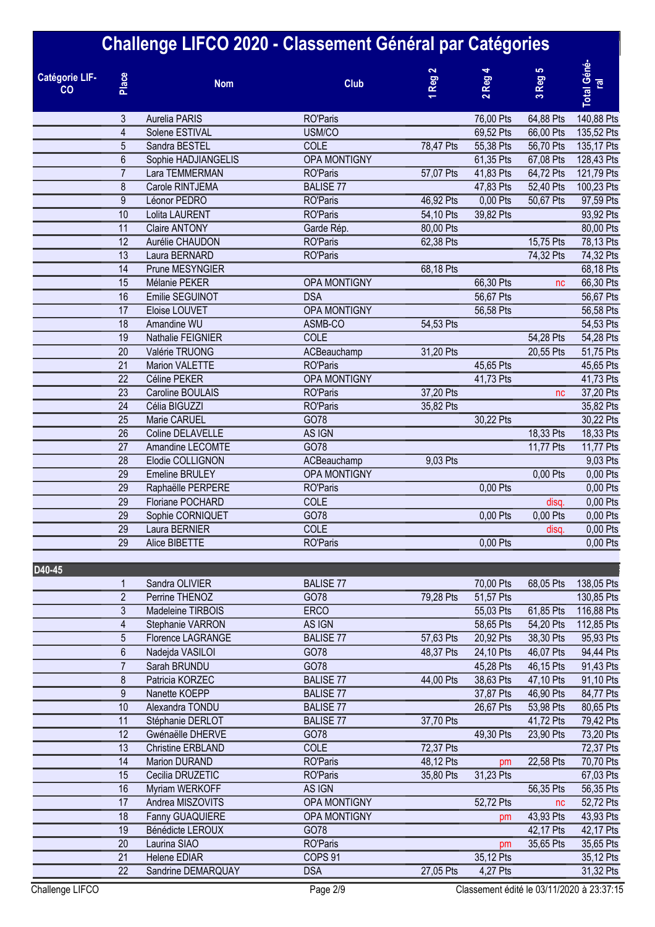|                             |                 | Challenge LIFCO 2020 - Classement Général par Catégories |                                    |                        |                                             |             |                                     |
|-----------------------------|-----------------|----------------------------------------------------------|------------------------------------|------------------------|---------------------------------------------|-------------|-------------------------------------|
| <b>Catégorie LIF-</b><br>CO | Place           | <b>Nom</b>                                               | <b>Club</b>                        | Reg <sub>2</sub>       | Reg <sub>4</sub><br>$\overline{\mathbf{c}}$ | Reg 5<br>S, | <b>Total Géné</b><br>$\overline{e}$ |
|                             | 3               | <b>Aurelia PARIS</b>                                     | <b>RO'Paris</b>                    |                        | 76,00 Pts                                   | 64,88 Pts   | 140,88 Pts                          |
|                             | 4               | Solene ESTIVAL                                           | USM/CO                             |                        | 69,52 Pts                                   | 66,00 Pts   | 135,52 Pts                          |
|                             | 5               | Sandra BESTEL                                            | <b>COLE</b>                        | 78,47 Pts              | 55,38 Pts                                   | 56,70 Pts   | 135,17 Pts                          |
|                             | 6               | Sophie HADJIANGELIS                                      | OPA MONTIGNY                       |                        | 61,35 Pts                                   | 67,08 Pts   | 128,43 Pts                          |
|                             | $\overline{7}$  | Lara TEMMERMAN                                           | <b>RO'Paris</b>                    | 57,07 Pts              | 41,83 Pts                                   | 64,72 Pts   | 121,79 Pts                          |
|                             | 8               | Carole RINTJEMA                                          | <b>BALISE 77</b>                   |                        | 47,83 Pts                                   | 52,40 Pts   | 100,23 Pts                          |
|                             | 9<br>10         | Léonor PEDRO                                             | <b>RO'Paris</b>                    | 46,92 Pts              | 0,00 Pts                                    | 50,67 Pts   | 97,59 Pts                           |
|                             | 11              | Lolita LAURENT<br><b>Claire ANTONY</b>                   | <b>RO'Paris</b>                    | 54,10 Pts<br>80,00 Pts | 39,82 Pts                                   |             | 93,92 Pts<br>80,00 Pts              |
|                             | $\overline{12}$ | Aurélie CHAUDON                                          | Garde Rép.<br><b>RO'Paris</b>      | 62,38 Pts              |                                             | 15,75 Pts   | 78,13 Pts                           |
|                             | 13              | Laura BERNARD                                            | <b>RO'Paris</b>                    |                        |                                             | 74,32 Pts   | 74,32 Pts                           |
|                             | 14              | Prune MESYNGIER                                          |                                    | 68,18 Pts              |                                             |             | 68,18 Pts                           |
|                             | 15              | Mélanie PEKER                                            | OPA MONTIGNY                       |                        | 66,30 Pts                                   | nc          | 66,30 Pts                           |
|                             | 16              | Emilie SEGUINOT                                          | <b>DSA</b>                         |                        | 56,67 Pts                                   |             | 56,67 Pts                           |
|                             | 17              | Eloise LOUVET                                            | <b>OPA MONTIGNY</b>                |                        | 56,58 Pts                                   |             | 56,58 Pts                           |
|                             | 18              | Amandine WU                                              | ASMB-CO                            | 54,53 Pts              |                                             |             | 54,53 Pts                           |
|                             | 19              | Nathalie FEIGNIER                                        | COLE                               |                        |                                             | 54,28 Pts   | 54,28 Pts                           |
|                             | 20              | Valérie TRUONG                                           | ACBeauchamp                        | 31,20 Pts              |                                             | 20,55 Pts   | 51,75 Pts                           |
|                             | $\overline{21}$ | <b>Marion VALETTE</b>                                    | <b>RO'Paris</b>                    |                        | 45,65 Pts                                   |             | 45,65 Pts                           |
|                             | $\overline{22}$ | Céline PEKER                                             | OPA MONTIGNY                       |                        | 41,73 Pts                                   |             | 41,73 Pts                           |
|                             | 23              | Caroline BOULAIS                                         | <b>RO'Paris</b>                    | 37,20 Pts              |                                             | nc          | 37,20 Pts                           |
|                             | 24              | Célia BIGUZZI                                            | <b>RO'Paris</b>                    | 35,82 Pts              |                                             |             | 35,82 Pts                           |
|                             | 25              | Marie CARUEL                                             | GO78                               |                        | 30,22 Pts                                   |             | 30,22 Pts                           |
|                             | 26              | Coline DELAVELLE                                         | AS IGN                             |                        |                                             | 18,33 Pts   | 18,33 Pts                           |
|                             | 27              | Amandine LECOMTE                                         | GO78                               |                        |                                             | 11,77 Pts   | 11,77 Pts                           |
|                             | 28              | Elodie COLLIGNON                                         | ACBeauchamp                        | 9,03 Pts               |                                             |             | 9,03 Pts                            |
|                             | 29              | Emeline BRULEY                                           | OPA MONTIGNY                       |                        |                                             | 0,00 Pts    | 0,00 Pts                            |
|                             | 29              | Raphaëlle PERPERE                                        | <b>RO'Paris</b>                    |                        | 0,00 Pts                                    |             | 0,00 Pts                            |
|                             | 29              | Floriane POCHARD                                         | COLE                               |                        |                                             | disq.       | 0,00 Pts                            |
|                             | 29<br>29        | Sophie CORNIQUET                                         | GO78<br>COLE                       |                        | 0,00 Pts                                    | 0,00 Pts    | 0,00 Pts                            |
|                             | 29              | Laura BERNIER<br>Alice BIBETTE                           | <b>RO'Paris</b>                    |                        | 0,00 Pts                                    | disq.       | 0,00 Pts<br>0,00 Pts                |
|                             |                 |                                                          |                                    |                        |                                             |             |                                     |
| D40-45                      |                 |                                                          |                                    |                        |                                             |             |                                     |
|                             | 1               | Sandra OLIVIER                                           | <b>BALISE 77</b>                   |                        | 70,00 Pts                                   | 68,05 Pts   | 138,05 Pts                          |
|                             | $\overline{2}$  | Perrine THENOZ                                           | GO78                               | 79,28 Pts              | 51,57 Pts                                   |             | 130,85 Pts                          |
|                             | 3               | Madeleine TIRBOIS                                        | <b>ERCO</b>                        |                        | 55,03 Pts                                   | 61,85 Pts   | 116,88 Pts                          |
|                             | 4               | Stephanie VARRON                                         | AS IGN                             |                        | 58,65 Pts                                   | 54,20 Pts   | 112,85 Pts                          |
|                             | 5               | Florence LAGRANGE                                        | <b>BALISE 77</b>                   | 57,63 Pts              | 20,92 Pts                                   | 38,30 Pts   | 95,93 Pts                           |
|                             | 6               | Nadejda VASILOI                                          | GO78                               | 48,37 Pts              | 24,10 Pts                                   | 46,07 Pts   | 94,44 Pts                           |
|                             | $\overline{7}$  | Sarah BRUNDU                                             | GO78                               |                        | 45,28 Pts                                   | 46,15 Pts   | 91,43 Pts                           |
|                             | 8               | Patricia KORZEC                                          | <b>BALISE 77</b>                   | 44,00 Pts              | 38,63 Pts                                   | 47,10 Pts   | 91,10 Pts                           |
|                             | 9               | Nanette KOEPP                                            | <b>BALISE 77</b>                   |                        | 37,87 Pts                                   | 46,90 Pts   | 84,77 Pts                           |
|                             | 10              | Alexandra TONDU                                          | <b>BALISE 77</b>                   |                        | 26,67 Pts                                   | 53,98 Pts   | 80,65 Pts                           |
|                             | 11              | Stéphanie DERLOT                                         | <b>BALISE 77</b>                   | 37,70 Pts              |                                             | 41,72 Pts   | 79,42 Pts                           |
|                             | 12              | Gwénaëlle DHERVE                                         | GO78                               |                        | 49,30 Pts                                   | 23,90 Pts   | 73,20 Pts                           |
|                             | 13<br>14        | <b>Christine ERBLAND</b>                                 | COLE                               | 72,37 Pts              |                                             |             | 72,37 Pts                           |
|                             | 15              | Marion DURAND<br>Cecilia DRUZETIC                        | <b>RO'Paris</b><br><b>RO'Paris</b> | 48,12 Pts<br>35,80 Pts | pm<br>31,23 Pts                             | 22,58 Pts   | 70,70 Pts<br>67,03 Pts              |
|                             | 16              | Myriam WERKOFF                                           | AS IGN                             |                        |                                             | 56,35 Pts   | 56,35 Pts                           |
|                             | 17              | Andrea MISZOVITS                                         | OPA MONTIGNY                       |                        | 52,72 Pts                                   | nc          | 52,72 Pts                           |
|                             | 18              | Fanny GUAQUIERE                                          | OPA MONTIGNY                       |                        | pm                                          | 43,93 Pts   | 43,93 Pts                           |
|                             | 19              | Bénédicte LEROUX                                         | GO78                               |                        |                                             | 42,17 Pts   | 42,17 Pts                           |
|                             | 20              | Laurina SIAO                                             | <b>RO'Paris</b>                    |                        | pm                                          | 35,65 Pts   | 35,65 Pts                           |
|                             | 21              | <b>Helene EDIAR</b>                                      | COPS 91                            |                        | 35,12 Pts                                   |             | 35,12 Pts                           |
|                             | 22              | Sandrine DEMARQUAY                                       | <b>DSA</b>                         | 27,05 Pts              | 4,27 Pts                                    |             | 31,32 Pts                           |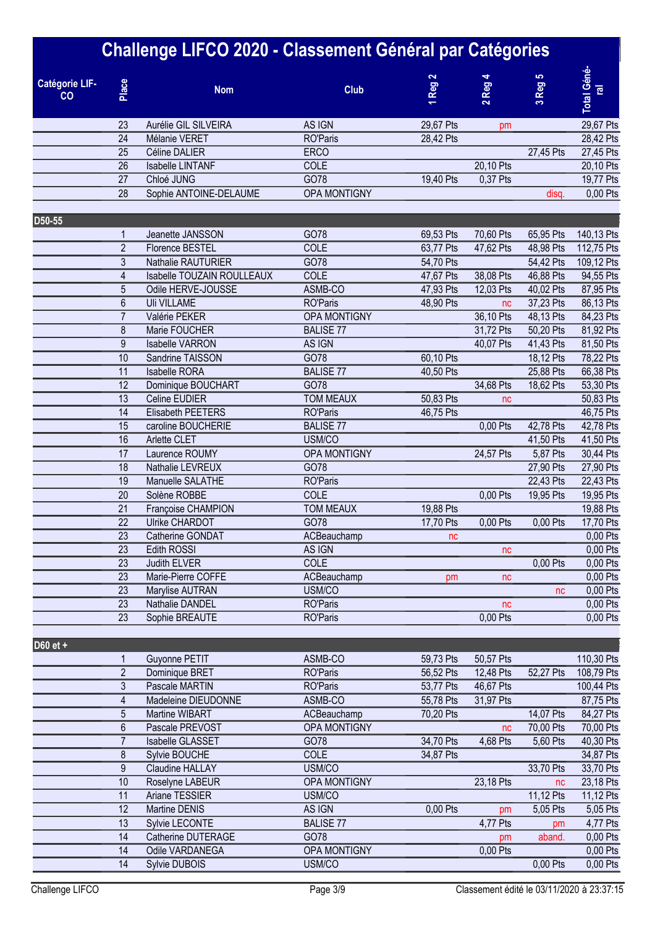|                             |                  | Challenge LIFCO 2020 - Classement Général par Catégories |                                    |                                    |                                |                        |                               |
|-----------------------------|------------------|----------------------------------------------------------|------------------------------------|------------------------------------|--------------------------------|------------------------|-------------------------------|
| <b>Catégorie LIF-</b><br>CO | Place            | <b>Nom</b>                                               | <b>Club</b>                        | $\mathbf{\tilde{c}}$<br><b>Reg</b> | Reg<br>$\overline{\mathbf{v}}$ | Reg <sub>5</sub><br>S, | Total Géné-<br>$\overline{e}$ |
|                             | 23               | Aurélie GIL SILVEIRA                                     | AS IGN                             | 29,67 Pts                          | pm                             |                        | 29,67 Pts                     |
|                             | 24               | Mélanie VERET                                            | <b>RO'Paris</b>                    | 28,42 Pts                          |                                |                        | 28,42 Pts                     |
|                             | 25               | Céline DALIER                                            | <b>ERCO</b>                        |                                    |                                | 27,45 Pts              | 27,45 Pts                     |
|                             | 26               | Isabelle LINTANF                                         | COLE                               |                                    | 20,10 Pts                      |                        | 20,10 Pts                     |
|                             | 27               | Chloé JUNG                                               | GO78                               | 19,40 Pts                          | 0.37 Pts                       |                        | 19,77 Pts                     |
|                             | 28               | Sophie ANTOINE-DELAUME                                   | OPA MONTIGNY                       |                                    |                                | disq.                  | 0,00 Pts                      |
| D50-55                      |                  |                                                          |                                    |                                    |                                |                        |                               |
|                             |                  | Jeanette JANSSON                                         | GO78                               | 69,53 Pts                          | 70,60 Pts                      | 65,95 Pts              | 140,13 Pts                    |
|                             | $\overline{2}$   | <b>Florence BESTEL</b>                                   | COLE                               | 63,77 Pts                          | 47,62 Pts                      | 48,98 Pts              | 112,75 Pts                    |
|                             | $\overline{3}$   | Nathalie RAUTURIER                                       | GO78                               | 54,70 Pts                          |                                | 54,42 Pts              | 109,12 Pts                    |
|                             | $\overline{4}$   | Isabelle TOUZAIN ROULLEAUX                               | COLE                               | 47,67 Pts                          | 38,08 Pts                      | 46,88 Pts              | 94,55 Pts                     |
|                             | $\overline{5}$   | Odile HERVE-JOUSSE                                       | ASMB-CO                            | 47,93 Pts                          | 12,03 Pts                      | 40,02 Pts              | 87,95 Pts                     |
|                             | $\boldsymbol{6}$ | <b>Uli VILLAME</b>                                       | <b>RO'Paris</b>                    | 48,90 Pts                          | nc                             | 37,23 Pts              | 86,13 Pts                     |
|                             | $\overline{7}$   | Valérie PEKER                                            | OPA MONTIGNY                       |                                    | 36,10 Pts                      | 48,13 Pts              | 84,23 Pts                     |
|                             | 8                | Marie FOUCHER                                            | <b>BALISE 77</b>                   |                                    | 31,72 Pts                      | 50,20 Pts              | 81,92 Pts                     |
|                             | 9                | <b>Isabelle VARRON</b>                                   | AS IGN                             |                                    | 40,07 Pts                      | 41,43 Pts              | 81,50 Pts                     |
|                             | 10               | Sandrine TAISSON                                         | GO78                               | 60,10 Pts                          |                                | 18,12 Pts              | 78,22 Pts                     |
|                             | 11               | <b>Isabelle RORA</b>                                     | <b>BALISE 77</b>                   | 40,50 Pts                          |                                | 25,88 Pts              | 66,38 Pts                     |
|                             | 12               | Dominique BOUCHART                                       | GO78                               |                                    | 34,68 Pts                      | 18,62 Pts              | 53,30 Pts                     |
|                             | 13               | Celine EUDIER                                            | <b>TOM MEAUX</b>                   | 50,83 Pts                          | nc                             |                        | 50,83 Pts                     |
|                             | 14               | Elisabeth PEETERS                                        | <b>RO'Paris</b>                    | 46,75 Pts                          |                                |                        | 46,75 Pts                     |
|                             | 15               | caroline BOUCHERIE                                       | <b>BALISE 77</b>                   |                                    | 0,00 Pts                       | 42,78 Pts              | 42,78 Pts                     |
|                             | 16               | Arlette CLET                                             | USM/CO                             |                                    |                                | 41,50 Pts              | 41,50 Pts                     |
|                             | 17               | Laurence ROUMY                                           | OPA MONTIGNY                       |                                    | 24,57 Pts                      | 5,87 Pts               | 30,44 Pts                     |
|                             | 18               | Nathalie LEVREUX                                         | GO78                               |                                    |                                | 27,90 Pts              | 27,90 Pts                     |
|                             | 19               | Manuelle SALATHE                                         | <b>RO'Paris</b>                    |                                    |                                | 22,43 Pts              | 22,43 Pts                     |
|                             | 20               | Solène ROBBE                                             | COLE                               |                                    | 0,00 Pts                       | 19,95 Pts              | 19,95 Pts                     |
|                             | 21               | Françoise CHAMPION                                       | <b>TOM MEAUX</b>                   | 19,88 Pts                          |                                |                        | 19,88 Pts                     |
|                             | 22               | <b>Ulrike CHARDOT</b>                                    | GO78                               | 17,70 Pts                          | 0,00 Pts                       | 0,00 Pts               | 17,70 Pts                     |
|                             | 23               | Catherine GONDAT                                         | ACBeauchamp                        | nc                                 |                                |                        | 0,00 Pts                      |
|                             | 23               | Edith ROSSI                                              | AS IGN                             |                                    | nc                             |                        | 0,00 Pts                      |
|                             | 23               | Judith ELVER                                             | COLE                               |                                    |                                | 0,00 Pts               | 0,00 Pts                      |
|                             | 23               | Marie-Pierre COFFE                                       | ACBeauchamp                        | pm                                 | nc                             |                        | 0,00 Pts                      |
|                             | 23               | Marylise AUTRAN                                          | USM/CO                             |                                    |                                | nc                     | 0,00 Pts                      |
|                             | 23<br>23         | Nathalie DANDEL<br>Sophie BREAUTE                        | <b>RO'Paris</b><br><b>RO'Paris</b> |                                    | nc<br>0,00 Pts                 |                        | 0,00 Pts<br>0,00 Pts          |
|                             |                  |                                                          |                                    |                                    |                                |                        |                               |
| D60 et +                    |                  |                                                          |                                    |                                    |                                |                        |                               |
|                             |                  | Guyonne PETIT                                            | ASMB-CO                            | 59,73 Pts                          | 50,57 Pts                      |                        | 110,30 Pts                    |
|                             | $\overline{2}$   | Dominique BRET                                           | <b>RO'Paris</b>                    | 56,52 Pts                          | 12,48 Pts                      | 52,27 Pts              | 108,79 Pts                    |
|                             | $\mathfrak{Z}$   | Pascale MARTIN                                           | <b>RO'Paris</b>                    | 53,77 Pts                          | 46,67 Pts                      |                        | 100,44 Pts                    |
|                             | 4                | Madeleine DIEUDONNE                                      | ASMB-CO                            | 55,78 Pts                          | 31,97 Pts                      |                        | 87,75 Pts                     |
|                             | 5                | Martine WIBART                                           | ACBeauchamp                        | 70,20 Pts                          |                                | 14,07 Pts              | 84,27 Pts                     |
|                             | 6                | Pascale PREVOST                                          | OPA MONTIGNY                       |                                    | nc                             | 70,00 Pts              | 70,00 Pts                     |
|                             | $\overline{7}$   | Isabelle GLASSET                                         | GO78                               | 34,70 Pts                          | 4,68 Pts                       | 5,60 Pts               | 40,30 Pts                     |
|                             | 8                | Sylvie BOUCHE                                            | COLE                               | 34,87 Pts                          |                                |                        | 34,87 Pts                     |
|                             | $9\,$            | Claudine HALLAY                                          | USM/CO                             |                                    |                                | 33,70 Pts              | 33,70 Pts                     |
|                             | 10<br>11         | Roselyne LABEUR                                          | OPA MONTIGNY                       |                                    | 23,18 Pts                      | nc                     | 23,18 Pts                     |
|                             | 12               | Ariane TESSIER<br>Martine DENIS                          | USM/CO<br>AS IGN                   | 0,00 Pts                           |                                | 11,12 Pts<br>5,05 Pts  | 11,12 Pts                     |
|                             | 13               |                                                          | <b>BALISE 77</b>                   |                                    | pm                             |                        | 5,05 Pts                      |
|                             | 14               | Sylvie LECONTE<br>Catherine DUTERAGE                     | GO78                               |                                    | 4,77 Pts                       | pm                     | 4,77 Pts                      |
|                             | 14               | Odile VARDANEGA                                          | OPA MONTIGNY                       |                                    | pm<br>0,00 Pts                 | aband.                 | 0,00 Pts<br>0,00 Pts          |
|                             | 14               | Sylvie DUBOIS                                            | USM/CO                             |                                    |                                | 0,00 Pts               | 0,00 Pts                      |
|                             |                  |                                                          |                                    |                                    |                                |                        |                               |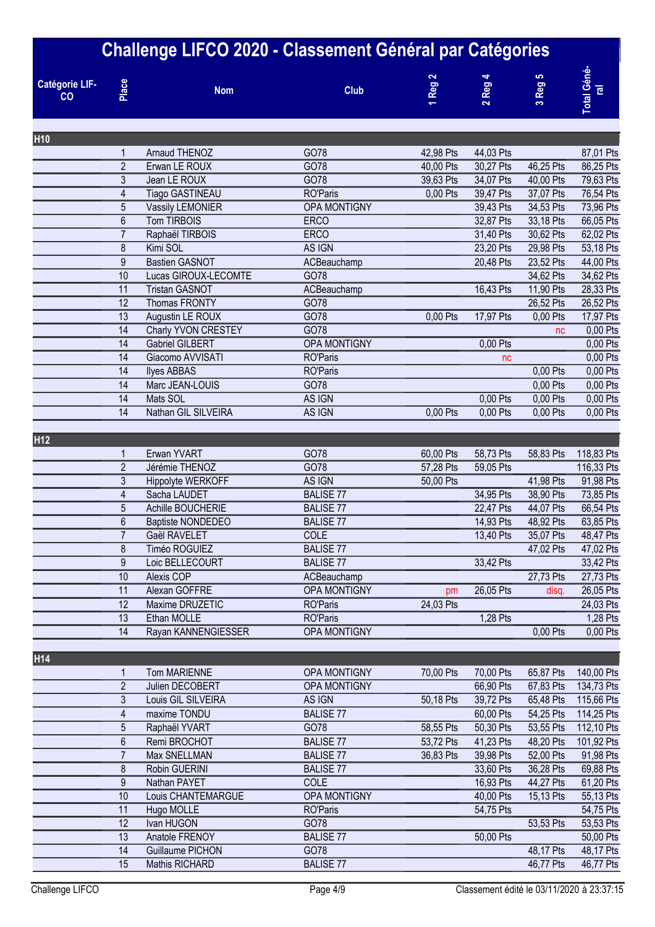|                             |                         | <b>Challenge LIFCO 2020 - Classement Général par Catégories</b> |                                 |           |             |           |                              |
|-----------------------------|-------------------------|-----------------------------------------------------------------|---------------------------------|-----------|-------------|-----------|------------------------------|
| <b>Catégorie LIF-</b><br>CO | Place                   | <b>Nom</b>                                                      | <b>Club</b>                     | 1 Reg 2   | $2$ Reg $2$ | 3 Reg 5   | Total Géné<br>$\overline{e}$ |
| <b>H10</b>                  |                         |                                                                 |                                 |           |             |           |                              |
|                             | 1                       | Arnaud THENOZ                                                   | GO78                            | 42,98 Pts | 44,03 Pts   |           | 87,01 Pts                    |
|                             | $\overline{2}$          | Erwan LE ROUX                                                   | GO78                            | 40,00 Pts | 30,27 Pts   | 46,25 Pts | 86,25 Pts                    |
|                             | 3                       | Jean LE ROUX                                                    | GO78                            | 39,63 Pts | 34,07 Pts   | 40,00 Pts | 79,63 Pts                    |
|                             | 4                       | <b>Tiago GASTINEAU</b>                                          | <b>RO'Paris</b>                 | 0,00 Pts  | 39,47 Pts   | 37,07 Pts | 76,54 Pts                    |
|                             | 5                       | Vassily LEMONIER                                                | OPA MONTIGNY                    |           | 39,43 Pts   | 34,53 Pts | 73,96 Pts                    |
|                             | $6\phantom{a}$          | Tom TIRBOIS                                                     | <b>ERCO</b>                     |           | 32,87 Pts   | 33,18 Pts | 66,05 Pts                    |
|                             | $\overline{7}$          | Raphaël TIRBOIS                                                 | <b>ERCO</b>                     |           | 31,40 Pts   | 30,62 Pts | 62,02 Pts                    |
|                             | 8                       | Kimi SOL                                                        | AS IGN                          |           | 23,20 Pts   | 29,98 Pts | 53,18 Pts                    |
|                             | 9                       | <b>Bastien GASNOT</b>                                           | ACBeauchamp                     |           | 20,48 Pts   | 23,52 Pts | 44,00 Pts                    |
|                             | 10                      | Lucas GIROUX-LECOMTE                                            | GO78                            |           |             | 34,62 Pts | 34,62 Pts                    |
|                             | 11                      | <b>Tristan GASNOT</b>                                           | ACBeauchamp                     |           | 16,43 Pts   | 11,90 Pts | 28,33 Pts                    |
|                             | 12                      | Thomas FRONTY                                                   | GO78                            |           |             | 26,52 Pts | 26,52 Pts                    |
|                             | 13                      | Augustin LE ROUX                                                | GO78                            | 0,00 Pts  | 17,97 Pts   | 0,00 Pts  | 17,97 Pts                    |
|                             | 14                      | Charly YVON CRESTEY                                             | GO78                            |           |             | nc        | 0,00 Pts                     |
|                             | 14                      | <b>Gabriel GILBERT</b>                                          | OPA MONTIGNY                    |           | 0,00 Pts    |           | 0,00 Pts                     |
|                             | 14                      | Giacomo AVVISATI                                                | <b>RO'Paris</b>                 |           | nc          |           | 0,00 Pts                     |
|                             | 14                      | <b>Ilyes ABBAS</b>                                              | <b>RO'Paris</b>                 |           |             | 0,00 Pts  | 0,00 Pts                     |
|                             | 14                      | Marc JEAN-LOUIS                                                 | GO78                            |           |             | 0,00 Pts  | 0,00 Pts                     |
|                             | 14                      | Mats SOL                                                        | AS IGN                          |           | 0,00 Pts    | 0,00 Pts  | 0,00 Pts                     |
|                             | 14                      | Nathan GIL SILVEIRA                                             | AS IGN                          | 0,00 Pts  | 0,00 Pts    | 0,00 Pts  | 0,00 Pts                     |
| H <sub>12</sub>             |                         |                                                                 |                                 |           |             |           |                              |
|                             | 1                       | Erwan YVART                                                     | GO78                            | 60,00 Pts | 58,73 Pts   | 58,83 Pts | 118,83 Pts                   |
|                             | $\overline{2}$          | Jérémie THENOZ                                                  | GO78                            | 57,28 Pts | 59,05 Pts   |           | 116,33 Pts                   |
|                             | 3                       | Hippolyte WERKOFF                                               | AS IGN                          | 50,00 Pts |             | 41,98 Pts | 91,98 Pts                    |
|                             | 4                       | Sacha LAUDET                                                    | <b>BALISE 77</b>                |           | 34,95 Pts   | 38,90 Pts | 73,85 Pts                    |
|                             | 5                       | Achille BOUCHERIE                                               | <b>BALISE 77</b>                |           | 22,47 Pts   | 44,07 Pts | 66,54 Pts                    |
|                             | 6                       | Baptiste NONDEDEO                                               | <b>BALISE 77</b>                |           | 14,93 Pts   | 48,92 Pts | 63,85 Pts                    |
|                             | $\overline{7}$          | Gaël RAVELET                                                    | COLE                            |           | 13,40 Pts   | 35,07 Pts | 48,47 Pts                    |
|                             | 8                       | Timéo ROGUIEZ                                                   | <b>BALISE 77</b>                |           |             | 47,02 Pts | 47,02 Pts                    |
|                             | 9                       | Loic BELLECOURT                                                 | <b>BALISE 77</b>                |           | 33,42 Pts   |           | 33,42 Pts                    |
|                             | 10                      | Alexis COP                                                      | ACBeauchamp                     |           |             | 27,73 Pts | 27,73 Pts                    |
|                             | 11                      | Alexan GOFFRE                                                   | OPA MONTIGNY                    | pm        | 26,05 Pts   | disq.     | 26,05 Pts                    |
|                             | 12                      | Maxime DRUZETIC                                                 | <b>RO'Paris</b>                 | 24,03 Pts |             |           | 24,03 Pts                    |
|                             | 13                      | Ethan MOLLE                                                     | <b>RO'Paris</b>                 |           | 1,28 Pts    |           | 1,28 Pts                     |
|                             | 14                      | Rayan KANNENGIESSER                                             | OPA MONTIGNY                    |           |             | 0.00 Pts  | 0,00 Pts                     |
|                             |                         |                                                                 |                                 |           |             |           |                              |
| H14                         |                         |                                                                 |                                 |           |             |           |                              |
|                             | 1                       | Tom MARIENNE                                                    | OPA MONTIGNY                    | 70,00 Pts | 70,00 Pts   | 65,87 Pts | 140,00 Pts                   |
|                             | $\overline{2}$          | Julien DECOBERT                                                 | OPA MONTIGNY                    |           | 66,90 Pts   | 67,83 Pts | 134,73 Pts                   |
|                             | 3                       | Louis GIL SILVEIRA                                              | AS IGN                          | 50,18 Pts | 39,72 Pts   | 65,48 Pts | 115,66 Pts                   |
|                             | $\overline{\mathbf{4}}$ | maxime TONDU                                                    | <b>BALISE 77</b>                |           | 60,00 Pts   | 54,25 Pts | 114,25 Pts                   |
|                             | $\overline{5}$          | Raphaël YVART                                                   | GO78                            | 58,55 Pts | 50,30 Pts   | 53,55 Pts | 112,10 Pts                   |
|                             | 6                       | Remi BROCHOT                                                    | <b>BALISE 77</b>                | 53,72 Pts | 41,23 Pts   | 48,20 Pts | 101,92 Pts                   |
|                             | $\overline{7}$          | Max SNELLMAN                                                    | <b>BALISE 77</b>                | 36,83 Pts | 39,98 Pts   | 52,00 Pts | 91,98 Pts                    |
|                             | $\boldsymbol{8}$        | Robin GUERINI                                                   | <b>BALISE 77</b>                |           | 33,60 Pts   | 36,28 Pts | 69,88 Pts                    |
|                             | 9                       | Nathan PAYET                                                    | <b>COLE</b>                     |           | 16,93 Pts   | 44,27 Pts | 61,20 Pts                    |
|                             | 10<br>11                | Louis CHANTEMARGUE                                              | OPA MONTIGNY<br><b>RO'Paris</b> |           | 40,00 Pts   | 15,13 Pts | 55,13 Pts                    |
|                             | 12                      | Hugo MOLLE<br>Ivan HUGON                                        | GO78                            |           | 54,75 Pts   |           | 54,75 Pts                    |
|                             | 13                      | Anatole FRENOY                                                  | <b>BALISE 77</b>                |           | 50,00 Pts   | 53,53 Pts | 53,53 Pts<br>50,00 Pts       |
|                             | 14                      | Guillaume PICHON                                                | GO78                            |           |             | 48,17 Pts | 48,17 Pts                    |
|                             | 15                      | Mathis RICHARD                                                  | <b>BALISE 77</b>                |           |             | 46,77 Pts | 46,77 Pts                    |
|                             |                         |                                                                 |                                 |           |             |           |                              |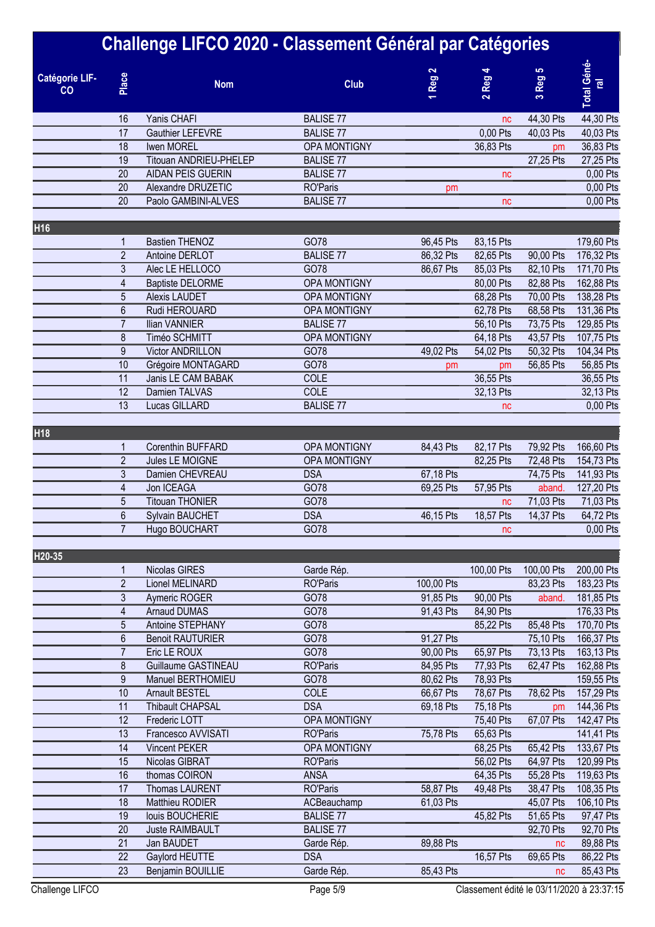|                             |                 | Challenge LIFCO 2020 - Classement Général par Catégories |                      |                        |                        |                        |                               |
|-----------------------------|-----------------|----------------------------------------------------------|----------------------|------------------------|------------------------|------------------------|-------------------------------|
| <b>Catégorie LIF-</b><br>CO | Place           | <b>Nom</b>                                               | <b>Club</b>          | Reg <sub>2</sub>       | $2$ Reg 4              | Reg 5<br>S,            | Total Géné-<br>$\overline{e}$ |
|                             | 16              | Yanis CHAFI                                              | <b>BALISE 77</b>     |                        | nc                     | 44,30 Pts              | 44,30 Pts                     |
|                             | $\overline{17}$ | <b>Gauthier LEFEVRE</b>                                  | <b>BALISE 77</b>     |                        | 0,00 Pts               | 40,03 Pts              | 40,03 Pts                     |
|                             | 18              | Iwen MOREL                                               | <b>OPA MONTIGNY</b>  |                        | 36,83 Pts              | pm                     | 36,83 Pts                     |
|                             | 19              | Titouan ANDRIEU-PHELEP                                   | <b>BALISE 77</b>     |                        |                        | 27,25 Pts              | 27,25 Pts                     |
|                             | 20              | <b>AIDAN PEIS GUERIN</b>                                 | <b>BALISE 77</b>     |                        | nc                     |                        | 0,00 Pts                      |
|                             | 20              | Alexandre DRUZETIC                                       | <b>RO'Paris</b>      | рm                     |                        |                        | 0,00 Pts                      |
|                             | 20              | Paolo GAMBINI-ALVES                                      | <b>BALISE 77</b>     |                        | nc                     |                        | 0,00 Pts                      |
| H16                         |                 |                                                          |                      |                        |                        |                        |                               |
|                             | 1               | <b>Bastien THENOZ</b>                                    | GO78                 | 96,45 Pts              | 83,15 Pts              |                        | 179,60 Pts                    |
|                             | $\overline{2}$  | Antoine DERLOT                                           | <b>BALISE 77</b>     | 86,32 Pts              | 82,65 Pts              | 90,00 Pts              | 176,32 Pts                    |
|                             | 3               | Alec LE HELLOCO                                          | GO78                 | 86,67 Pts              | 85,03 Pts              | 82,10 Pts              | 171,70 Pts                    |
|                             | 4               | <b>Baptiste DELORME</b>                                  | OPA MONTIGNY         |                        | 80,00 Pts              | 82,88 Pts              | 162,88 Pts                    |
|                             | 5               | <b>Alexis LAUDET</b>                                     | <b>OPA MONTIGNY</b>  |                        | 68,28 Pts              | 70,00 Pts              | 138,28 Pts                    |
|                             | $6\phantom{.}6$ | Rudi HEROUARD                                            | OPA MONTIGNY         |                        | 62,78 Pts              | 68,58 Pts              | 131,36 Pts                    |
|                             | $\overline{7}$  | Ilian VANNIER                                            | <b>BALISE 77</b>     |                        | 56,10 Pts              | 73,75 Pts              | 129,85 Pts                    |
|                             | 8<br>9          | Timéo SCHMITT<br><b>Victor ANDRILLON</b>                 | OPA MONTIGNY<br>GO78 | 49,02 Pts              | 64,18 Pts<br>54,02 Pts | 43,57 Pts<br>50,32 Pts | 107,75 Pts                    |
|                             | 10              | Grégoire MONTAGARD                                       | GO78                 |                        |                        | 56,85 Pts              | 104,34 Pts<br>56,85 Pts       |
|                             | $\overline{11}$ | Janis LE CAM BABAK                                       | COLE                 | рm                     | pm<br>36,55 Pts        |                        | 36,55 Pts                     |
|                             | $\overline{12}$ | Damien TALVAS                                            | COLE                 |                        | 32,13 Pts              |                        | 32,13 Pts                     |
|                             | 13              | Lucas GILLARD                                            | <b>BALISE 77</b>     |                        | nc                     |                        | 0,00 Pts                      |
|                             |                 |                                                          |                      |                        |                        |                        |                               |
| H <sub>18</sub>             |                 |                                                          |                      |                        |                        |                        |                               |
|                             | 1               | Corenthin BUFFARD                                        | OPA MONTIGNY         | 84,43 Pts              | 82,17 Pts              | 79,92 Pts              | 166,60 Pts                    |
|                             | $\overline{2}$  | Jules LE MOIGNE                                          | OPA MONTIGNY         |                        | 82,25 Pts              | 72,48 Pts              | 154,73 Pts                    |
|                             | 3               | Damien CHEVREAU                                          | <b>DSA</b>           | 67,18 Pts              |                        | 74,75 Pts              | 141,93 Pts                    |
|                             | 4<br>5          | Jon ICEAGA<br><b>Titouan THONIER</b>                     | GO78<br>GO78         | 69,25 Pts              | 57,95 Pts              | aband.<br>71,03 Pts    | 127,20 Pts<br>71,03 Pts       |
|                             | 6               | <b>Sylvain BAUCHET</b>                                   | <b>DSA</b>           |                        | nc<br>18,57 Pts        |                        |                               |
|                             | $\overline{7}$  |                                                          |                      | 46,15 Pts              |                        | 14,37 Pts              | 64,72 Pts                     |
|                             |                 | Hugo BOUCHART                                            | GO78                 |                        | nc                     |                        | 0,00 Pts                      |
| H20-35                      |                 |                                                          |                      |                        |                        |                        |                               |
|                             | 1               | Nicolas GIRES                                            | Garde Rép.           |                        | 100,00 Pts             | 100,00 Pts             | 200,00 Pts                    |
|                             | $\overline{2}$  | Lionel MELINARD                                          | <b>RO'Paris</b>      | 100,00 Pts             |                        | 83,23 Pts              | 183,23 Pts                    |
|                             | 3               | Aymeric ROGER                                            | GO78                 | 91,85 Pts              | 90,00 Pts              | aband.                 | 181,85 Pts                    |
|                             | 4               | <b>Arnaud DUMAS</b>                                      | GO78                 | 91,43 Pts              | 84,90 Pts              |                        | 176,33 Pts                    |
|                             | 5<br>6          | Antoine STEPHANY                                         | GO78<br>GO78         |                        | 85,22 Pts              | 85,48 Pts              | 170,70 Pts                    |
|                             | $\overline{7}$  | <b>Benoit RAUTURIER</b><br>Eric LE ROUX                  | GO78                 | 91,27 Pts              | 65,97 Pts              | 75,10 Pts              | 166,37 Pts                    |
|                             | 8               | <b>Guillaume GASTINEAU</b>                               | <b>RO'Paris</b>      | 90,00 Pts<br>84,95 Pts | 77,93 Pts              | 73,13 Pts<br>62,47 Pts | 163,13 Pts<br>162,88 Pts      |
|                             | 9               | Manuel BERTHOMIEU                                        | GO78                 | 80,62 Pts              | 78,93 Pts              |                        | 159,55 Pts                    |
|                             | 10              | Arnault BESTEL                                           | COLE                 | 66,67 Pts              | 78,67 Pts              | 78,62 Pts              | 157,29 Pts                    |
|                             | 11              | <b>Thibault CHAPSAL</b>                                  | <b>DSA</b>           | 69,18 Pts              | 75,18 Pts              | pm                     | 144,36 Pts                    |
|                             | 12              | Frederic LOTT                                            | OPA MONTIGNY         |                        | 75,40 Pts              | 67,07 Pts              | 142,47 Pts                    |
|                             | 13              | Francesco AVVISATI                                       | <b>RO'Paris</b>      | 75,78 Pts              | 65,63 Pts              |                        | 141,41 Pts                    |
|                             | 14              | <b>Vincent PEKER</b>                                     | OPA MONTIGNY         |                        | 68,25 Pts              | 65,42 Pts              | 133,67 Pts                    |
|                             | 15              | Nicolas GIBRAT                                           | <b>RO'Paris</b>      |                        | 56,02 Pts              | 64,97 Pts              | 120,99 Pts                    |
|                             | 16              | thomas COIRON                                            | <b>ANSA</b>          |                        | 64,35 Pts              | 55,28 Pts              | 119,63 Pts                    |
|                             | 17              | <b>Thomas LAURENT</b>                                    | <b>RO'Paris</b>      | 58,87 Pts              | 49,48 Pts              | 38,47 Pts              | 108,35 Pts                    |
|                             | 18              | Matthieu RODIER                                          | ACBeauchamp          | 61,03 Pts              |                        | 45,07 Pts              | 106,10 Pts                    |
|                             | 19              | louis BOUCHERIE                                          | <b>BALISE 77</b>     |                        | 45,82 Pts              | 51,65 Pts              | 97,47 Pts                     |
|                             | 20              | Juste RAIMBAULT                                          | <b>BALISE 77</b>     |                        |                        | 92,70 Pts              | 92,70 Pts                     |
|                             | 21              | Jan BAUDET                                               | Garde Rép.           | 89,88 Pts              |                        | nc                     | 89,88 Pts                     |
|                             | 22              | Gaylord HEUTTE                                           | <b>DSA</b>           |                        | 16,57 Pts              | 69,65 Pts              | 86,22 Pts                     |
|                             | 23              | Benjamin BOUILLIE                                        | Garde Rép.           | 85,43 Pts              |                        | nc                     | 85,43 Pts                     |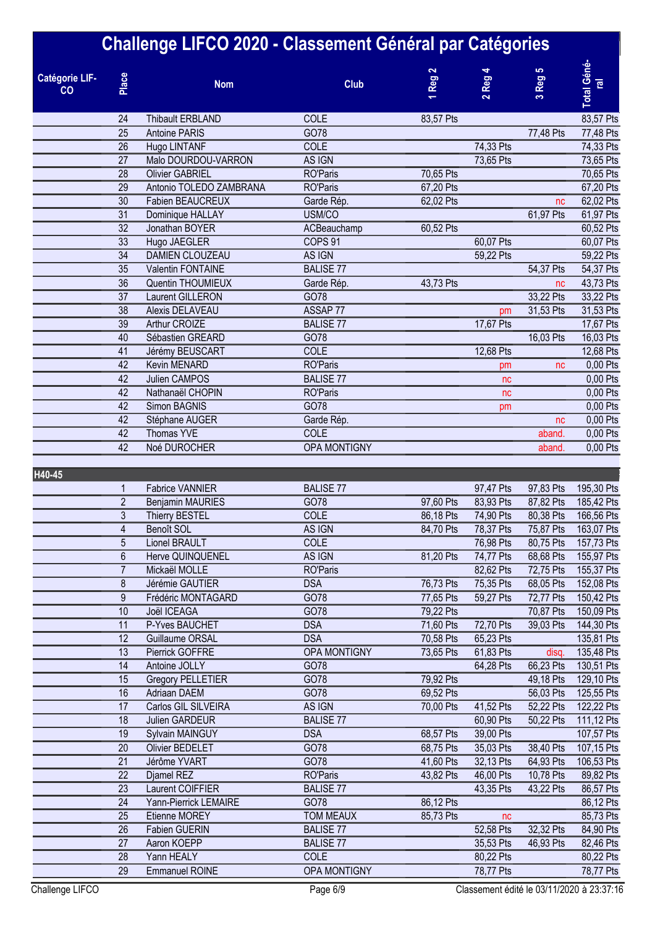|                             |                 | Challenge LIFCO 2020 - Classement Général par Catégories |                          |                  |           |                               |                               |
|-----------------------------|-----------------|----------------------------------------------------------|--------------------------|------------------|-----------|-------------------------------|-------------------------------|
| <b>Catégorie LIF-</b><br>CO | Place           | <b>Nom</b>                                               | <b>Club</b>              | Reg <sub>2</sub> | $2$ Reg 4 | Reg 5<br>$\mathbf{\tilde{c}}$ | Total Géné-<br>$\overline{e}$ |
|                             | 24              | <b>Thibault ERBLAND</b>                                  | COLE                     | 83,57 Pts        |           |                               | 83,57 Pts                     |
|                             | $\overline{25}$ | <b>Antoine PARIS</b>                                     | GO78                     |                  |           | 77,48 Pts                     | 77,48 Pts                     |
|                             | 26              | Hugo LINTANF                                             | COLE                     |                  | 74,33 Pts |                               | 74,33 Pts                     |
|                             | 27              | Malo DOURDOU-VARRON                                      | AS IGN                   |                  | 73,65 Pts |                               | 73,65 Pts                     |
|                             | 28              | <b>Olivier GABRIEL</b>                                   | <b>RO'Paris</b>          | 70,65 Pts        |           |                               | 70,65 Pts                     |
|                             | 29              | Antonio TOLEDO ZAMBRANA                                  | <b>RO'Paris</b>          | 67,20 Pts        |           |                               | 67,20 Pts                     |
|                             | 30              | Fabien BEAUCREUX                                         | Garde Rép.               | 62,02 Pts        |           | nc                            | 62,02 Pts                     |
|                             | 31              | Dominique HALLAY                                         | USM/CO                   |                  |           | 61,97 Pts                     | 61,97 Pts                     |
|                             | 32              | Jonathan BOYER                                           | ACBeauchamp              | 60,52 Pts        |           |                               | 60,52 Pts                     |
|                             | 33              | Hugo JAEGLER                                             | COPS <sub>91</sub>       |                  | 60,07 Pts |                               | 60,07 Pts                     |
|                             | 34              | DAMIEN CLOUZEAU                                          | AS IGN                   |                  | 59,22 Pts |                               | 59,22 Pts                     |
|                             | 35              | Valentin FONTAINE                                        | <b>BALISE 77</b>         |                  |           | 54,37 Pts                     | 54,37 Pts                     |
|                             | 36              | Quentin THOUMIEUX                                        | Garde Rép.               | 43,73 Pts        |           | nc                            | 43,73 Pts                     |
|                             | $\overline{37}$ | <b>Laurent GILLERON</b>                                  | GO78                     |                  |           | 33,22 Pts                     | 33,22 Pts                     |
|                             | 38<br>39        | Alexis DELAVEAU                                          | ASSAP 77                 |                  | pm        | 31,53 Pts                     | 31,53 Pts                     |
|                             | 40              | Arthur CROIZE<br>Sébastien GREARD                        | <b>BALISE 77</b><br>GO78 |                  | 17,67 Pts | 16,03 Pts                     | 17,67 Pts<br>16,03 Pts        |
|                             | 41              | Jérémy BEUSCART                                          | COLE                     |                  | 12,68 Pts |                               | 12,68 Pts                     |
|                             | 42              | Kevin MENARD                                             | <b>RO'Paris</b>          |                  |           |                               | 0,00 Pts                      |
|                             | 42              |                                                          | <b>BALISE 77</b>         |                  | pm        | nc                            |                               |
|                             | 42              | <b>Julien CAMPOS</b>                                     |                          |                  | nc        |                               | 0,00 Pts                      |
|                             | 42              | Nathanaël CHOPIN<br>Simon BAGNIS                         | <b>RO'Paris</b><br>GO78  |                  | nc        |                               | 0,00 Pts                      |
|                             | 42              |                                                          |                          |                  | pm        |                               | 0,00 Pts<br>0,00 Pts          |
|                             | 42              | Stéphane AUGER<br>Thomas YVE                             | Garde Rép.<br>COLE       |                  |           | nc<br>aband.                  | 0,00 Pts                      |
|                             | 42              | Noé DUROCHER                                             | OPA MONTIGNY             |                  |           | aband.                        | 0,00 Pts                      |
|                             |                 |                                                          |                          |                  |           |                               |                               |
| H40-45                      |                 |                                                          |                          |                  |           |                               |                               |
|                             | 1               | <b>Fabrice VANNIER</b>                                   | <b>BALISE 77</b>         |                  | 97,47 Pts | 97,83 Pts                     | 195,30 Pts                    |
|                             | $\overline{2}$  | <b>Benjamin MAURIES</b>                                  | GO78                     | 97,60 Pts        | 83,93 Pts | 87,82 Pts                     | 185,42 Pts                    |
|                             | 3               | <b>Thierry BESTEL</b>                                    | COLE                     | 86,18 Pts        | 74,90 Pts | 80,38 Pts                     | 166,56 Pts                    |
|                             | 4               | Benoît SOL                                               | AS IGN                   | 84,70 Pts        | 78,37 Pts | 75,87 Pts                     | 163,07 Pts                    |
|                             | 5               | Lionel BRAULT                                            | COLE                     |                  | 76,98 Pts | 80,75 Pts                     | 157,73 Pts                    |
|                             | 6               | Herve QUINQUENEL                                         | AS IGN                   | 81,20 Pts        | 74,77 Pts | 68,68 Pts                     | 155,97 Pts                    |
|                             | $\overline{7}$  | Mickaël MOLLE                                            | <b>RO'Paris</b>          |                  | 82,62 Pts | 72,75 Pts                     | 155,37 Pts                    |
|                             | 8               | Jérémie GAUTIER                                          | <b>DSA</b>               | 76,73 Pts        | 75,35 Pts | 68,05 Pts                     | 152,08 Pts                    |
|                             | 9               | Frédéric MONTAGARD                                       | GO78                     | 77,65 Pts        | 59,27 Pts | 72,77 Pts                     | 150,42 Pts                    |
|                             | 10              | Joël ICEAGA                                              | GO78                     | 79,22 Pts        |           | 70,87 Pts                     | 150,09 Pts                    |
|                             | 11              | P-Yves BAUCHET                                           | <b>DSA</b>               | 71,60 Pts        | 72,70 Pts | 39,03 Pts                     | 144,30 Pts                    |
|                             | 12              | Guillaume ORSAL                                          | <b>DSA</b>               | 70,58 Pts        | 65,23 Pts |                               | 135,81 Pts                    |
|                             | 13              | Pierrick GOFFRE                                          | OPA MONTIGNY             | 73,65 Pts        | 61,83 Pts | disq.                         | 135,48 Pts                    |
|                             | 14              | Antoine JOLLY                                            | GO78                     |                  | 64,28 Pts | 66,23 Pts                     | 130,51 Pts                    |
|                             | 15              | Gregory PELLETIER                                        | GO78                     | 79,92 Pts        |           | 49,18 Pts                     | 129,10 Pts                    |
|                             | 16              | Adriaan DAEM                                             | GO78                     | 69,52 Pts        |           | 56,03 Pts                     | 125,55 Pts                    |
|                             | 17              | Carlos GIL SILVEIRA                                      | AS IGN                   | 70,00 Pts        | 41,52 Pts | 52,22 Pts                     | 122,22 Pts                    |
|                             | 18              | Julien GARDEUR                                           | <b>BALISE 77</b>         |                  | 60,90 Pts | 50,22 Pts                     | 111,12 Pts                    |
|                             | 19              | Sylvain MAINGUY                                          | <b>DSA</b>               | 68,57 Pts        | 39,00 Pts |                               | 107,57 Pts                    |
|                             | 20              | Olivier BEDELET                                          | GO78                     | 68,75 Pts        | 35,03 Pts | 38,40 Pts                     | 107,15 Pts                    |
|                             | 21              | Jérôme YVART                                             | GO78                     | 41,60 Pts        | 32,13 Pts | 64,93 Pts                     | 106,53 Pts                    |
|                             | 22              | Djamel REZ                                               | <b>RO'Paris</b>          | 43,82 Pts        | 46,00 Pts | 10,78 Pts                     | 89,82 Pts                     |
|                             | 23              | Laurent COIFFIER                                         | <b>BALISE 77</b>         |                  | 43,35 Pts | 43,22 Pts                     | 86,57 Pts                     |
|                             | 24              | Yann-Pierrick LEMAIRE                                    | GO78                     | 86,12 Pts        |           |                               | 86,12 Pts                     |
|                             | 25              | Etienne MOREY                                            | <b>TOM MEAUX</b>         | 85,73 Pts        | nc        |                               | 85,73 Pts                     |
|                             | 26              | Fabien GUERIN                                            | <b>BALISE 77</b>         |                  | 52,58 Pts | 32,32 Pts                     | 84,90 Pts                     |
|                             | 27              | Aaron KOEPP                                              | <b>BALISE 77</b>         |                  | 35,53 Pts | 46,93 Pts                     | 82,46 Pts                     |
|                             | 28              | Yann HEALY                                               | <b>COLE</b>              |                  | 80,22 Pts |                               | 80,22 Pts                     |
|                             | 29              | <b>Emmanuel ROINE</b>                                    | OPA MONTIGNY             |                  | 78,77 Pts |                               | 78,77 Pts                     |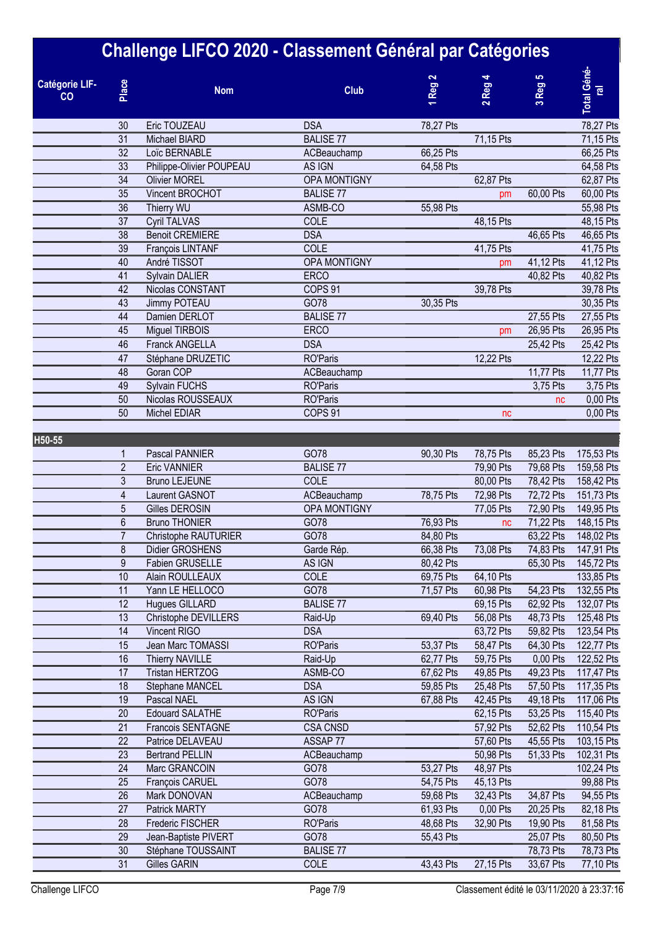|                      |                  | Challenge LIFCO 2020 - Classement Général par Catégories |                    |                        |           |             |                                     |
|----------------------|------------------|----------------------------------------------------------|--------------------|------------------------|-----------|-------------|-------------------------------------|
| Catégorie LIF-<br>CO | Place            | <b>Nom</b>                                               | <b>Club</b>        | Reg <sub>2</sub>       | 2 Reg     | $3$ Reg $5$ | <b>Total Géné</b><br>$\overline{e}$ |
|                      | 30               | Eric TOUZEAU                                             | <b>DSA</b>         | 78,27 Pts              |           |             | 78,27 Pts                           |
|                      | 31               | Michael BIARD                                            | <b>BALISE 77</b>   |                        | 71,15 Pts |             | 71,15 Pts                           |
|                      | 32               | Loïc BERNABLE                                            | ACBeauchamp        | 66,25 Pts              |           |             | 66,25 Pts                           |
|                      | 33               | Philippe-Olivier POUPEAU                                 | AS IGN             | 64,58 Pts              |           |             | 64,58 Pts                           |
|                      | 34               | <b>Olivier MOREL</b>                                     | OPA MONTIGNY       |                        | 62,87 Pts |             | 62,87 Pts                           |
|                      | 35               | Vincent BROCHOT                                          | <b>BALISE 77</b>   |                        | pm        | 60,00 Pts   | 60,00 Pts                           |
|                      | 36               | Thierry WU                                               | ASMB-CO            | 55,98 Pts              |           |             | 55,98 Pts                           |
|                      | 37<br>38         | <b>Cyril TALVAS</b><br><b>Benoit CREMIERE</b>            | COLE<br><b>DSA</b> |                        | 48,15 Pts |             | 48,15 Pts                           |
|                      | $\overline{39}$  | François LINTANF                                         | <b>COLE</b>        |                        | 41,75 Pts | 46,65 Pts   | 46,65 Pts<br>41,75 Pts              |
|                      | 40               | André TISSOT                                             | OPA MONTIGNY       |                        | pm        | 41,12 Pts   | 41,12 Pts                           |
|                      | 41               | Sylvain DALIER                                           | <b>ERCO</b>        |                        |           | 40,82 Pts   | 40,82 Pts                           |
|                      | 42               | Nicolas CONSTANT                                         | COPS <sub>91</sub> |                        | 39,78 Pts |             | 39,78 Pts                           |
|                      | 43               | Jimmy POTEAU                                             | GO78               | 30,35 Pts              |           |             | 30,35 Pts                           |
|                      | 44               | Damien DERLOT                                            | <b>BALISE 77</b>   |                        |           | 27,55 Pts   | 27,55 Pts                           |
|                      | 45               | Miguel TIRBOIS                                           | <b>ERCO</b>        |                        | pm        | 26,95 Pts   | 26,95 Pts                           |
|                      | 46               | Franck ANGELLA                                           | <b>DSA</b>         |                        |           | 25,42 Pts   | 25,42 Pts                           |
|                      | 47               | Stéphane DRUZETIC                                        | <b>RO'Paris</b>    |                        | 12,22 Pts |             | 12,22 Pts                           |
|                      | 48               | Goran COP                                                | ACBeauchamp        |                        |           | 11,77 Pts   | 11,77 Pts                           |
|                      | 49               | <b>Sylvain FUCHS</b>                                     | <b>RO'Paris</b>    |                        |           | 3,75 Pts    | 3,75 Pts                            |
|                      | 50               | Nicolas ROUSSEAUX                                        | <b>RO'Paris</b>    |                        |           | nc          | 0,00 Pts                            |
|                      | 50               | <b>Michel EDIAR</b>                                      | COPS <sub>91</sub> |                        | nc        |             | 0,00 Pts                            |
| H50-55               |                  |                                                          |                    |                        |           |             |                                     |
|                      | 1                | Pascal PANNIER                                           | GO78               | 90,30 Pts              | 78,75 Pts | 85,23 Pts   | 175,53 Pts                          |
|                      | $\overline{2}$   | <b>Eric VANNIER</b>                                      | <b>BALISE 77</b>   |                        | 79,90 Pts | 79,68 Pts   | 159,58 Pts                          |
|                      | 3                | <b>Bruno LEJEUNE</b>                                     | COLE               |                        | 80,00 Pts | 78,42 Pts   | 158,42 Pts                          |
|                      | 4                | Laurent GASNOT                                           | ACBeauchamp        | 78,75 Pts              | 72,98 Pts | 72,72 Pts   | 151,73 Pts                          |
|                      | 5                | Gilles DEROSIN                                           | OPA MONTIGNY       |                        | 77,05 Pts | 72,90 Pts   | 149,95 Pts                          |
|                      | $\boldsymbol{6}$ | <b>Bruno THONIER</b>                                     | GO78               | 76,93 Pts              | nc        | 71,22 Pts   | 148,15 Pts                          |
|                      | $\overline{7}$   | Christophe RAUTURIER                                     | GO78               | 84,80 Pts              |           | 63,22 Pts   | 148,02 Pts                          |
|                      | 8                | Didier GROSHENS                                          | Garde Rép.         | 66,38 Pts              | 73,08 Pts | 74,83 Pts   | 147,91 Pts                          |
|                      | $9\,$<br>10      | Fabien GRUSELLE<br>Alain ROULLEAUX                       | AS IGN<br>COLE     | 80,42 Pts<br>69,75 Pts | 64,10 Pts | 65,30 Pts   | 145,72 Pts<br>133,85 Pts            |
|                      | 11               | Yann LE HELLOCO                                          | GO78               | 71,57 Pts              | 60,98 Pts | 54,23 Pts   | 132,55 Pts                          |
|                      | 12               | Hugues GILLARD                                           | <b>BALISE 77</b>   |                        | 69,15 Pts | 62,92 Pts   | 132,07 Pts                          |
|                      | 13               | Christophe DEVILLERS                                     | Raid-Up            | 69,40 Pts              | 56,08 Pts | 48,73 Pts   | 125,48 Pts                          |
|                      | 14               | Vincent RIGO                                             | <b>DSA</b>         |                        | 63,72 Pts | 59,82 Pts   | 123,54 Pts                          |
|                      | 15               | Jean Marc TOMASSI                                        | <b>RO'Paris</b>    | 53,37 Pts              | 58,47 Pts | 64,30 Pts   | 122,77 Pts                          |
|                      | 16               | Thierry NAVILLE                                          | Raid-Up            | 62,77 Pts              | 59,75 Pts | 0,00 Pts    | 122,52 Pts                          |
|                      | 17               | Tristan HERTZOG                                          | ASMB-CO            | 67,62 Pts              | 49,85 Pts | 49,23 Pts   | 117,47 Pts                          |
|                      | 18               | Stephane MANCEL                                          | <b>DSA</b>         | 59,85 Pts              | 25,48 Pts | 57,50 Pts   | 117,35 Pts                          |
|                      | 19               | Pascal NAEL                                              | AS IGN             | 67,88 Pts              | 42,45 Pts | 49,18 Pts   | 117,06 Pts                          |
|                      | 20               | <b>Edouard SALATHE</b>                                   | <b>RO'Paris</b>    |                        | 62,15 Pts | 53,25 Pts   | 115,40 Pts                          |
|                      | 21               | Francois SENTAGNE                                        | <b>CSA CNSD</b>    |                        | 57,92 Pts | 52,62 Pts   | 110,54 Pts                          |
|                      | 22               | Patrice DELAVEAU                                         | ASSAP 77           |                        | 57,60 Pts | 45,55 Pts   | 103,15 Pts                          |
|                      | 23               | <b>Bertrand PELLIN</b>                                   | ACBeauchamp        |                        | 50,98 Pts | 51,33 Pts   | 102,31 Pts                          |
|                      | 24               | Marc GRANCOIN                                            | GO78               | 53,27 Pts              | 48,97 Pts |             | 102,24 Pts                          |
|                      | 25               | François CARUEL                                          | GO78               | 54,75 Pts              | 45,13 Pts |             | 99,88 Pts                           |
|                      | 26               | Mark DONOVAN                                             | ACBeauchamp        | 59,68 Pts              | 32,43 Pts | 34,87 Pts   | 94,55 Pts                           |
|                      | 27               | Patrick MARTY                                            | GO78               | 61,93 Pts              | 0,00 Pts  | 20,25 Pts   | 82,18 Pts                           |
|                      | 28               | Frederic FISCHER                                         | <b>RO'Paris</b>    | 48,68 Pts              | 32,90 Pts | 19,90 Pts   | 81,58 Pts                           |
|                      | 29               | Jean-Baptiste PIVERT                                     | GO78               | 55,43 Pts              |           | 25,07 Pts   | 80,50 Pts                           |
|                      | 30               | Stéphane TOUSSAINT                                       | <b>BALISE 77</b>   |                        |           | 78,73 Pts   | 78,73 Pts                           |
|                      | 31               | Gilles GARIN                                             | COLE               | 43,43 Pts              | 27,15 Pts | 33,67 Pts   | 77,10 Pts                           |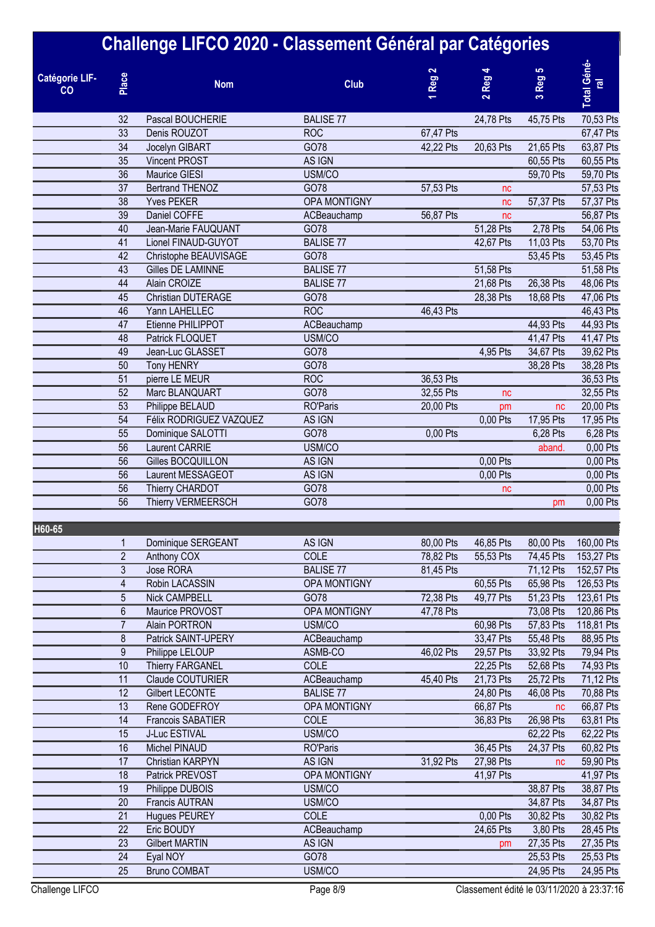|                             |                | Challenge LIFCO 2020 - Classement Général par Catégories |                     |                  |                                             |                        |                              |
|-----------------------------|----------------|----------------------------------------------------------|---------------------|------------------|---------------------------------------------|------------------------|------------------------------|
| <b>Catégorie LIF-</b><br>CO | Place          | <b>Nom</b>                                               | <b>Club</b>         | Reg <sub>2</sub> | Reg <sub>4</sub><br>$\overline{\mathbf{c}}$ | Reg <sub>5</sub><br>S, | Total Géné<br>$\overline{e}$ |
|                             | 32             | Pascal BOUCHERIE                                         | <b>BALISE 77</b>    |                  | 24,78 Pts                                   | 45,75 Pts              | 70,53 Pts                    |
|                             | 33             | Denis ROUZOT                                             | <b>ROC</b>          | 67,47 Pts        |                                             |                        | 67,47 Pts                    |
|                             | 34             | Jocelyn GIBART                                           | GO78                | 42,22 Pts        | 20,63 Pts                                   | 21,65 Pts              | 63,87 Pts                    |
|                             | 35             | <b>Vincent PROST</b>                                     | AS IGN              |                  |                                             | 60,55 Pts              | 60,55 Pts                    |
|                             | 36             | <b>Maurice GIESI</b>                                     | USM/CO              |                  |                                             | 59,70 Pts              | 59,70 Pts                    |
|                             | 37             | <b>Bertrand THENOZ</b>                                   | GO78                | 57,53 Pts        | nc                                          |                        | 57,53 Pts                    |
|                             | 38             | <b>Yves PEKER</b>                                        | <b>OPA MONTIGNY</b> |                  | nc                                          | 57,37 Pts              | 57,37 Pts                    |
|                             | 39             | Daniel COFFE                                             | ACBeauchamp         | 56,87 Pts        | nc                                          |                        | 56,87 Pts                    |
|                             | 40             | Jean-Marie FAUQUANT                                      | GO78                |                  | 51,28 Pts                                   | 2,78 Pts               | 54,06 Pts                    |
|                             | 41             | Lionel FINAUD-GUYOT                                      | <b>BALISE 77</b>    |                  | 42,67 Pts                                   | 11,03 Pts              | 53,70 Pts                    |
|                             | 42             | Christophe BEAUVISAGE                                    | GO78                |                  |                                             | 53,45 Pts              | 53,45 Pts                    |
|                             | 43             | Gilles DE LAMINNE                                        | <b>BALISE 77</b>    |                  | 51,58 Pts                                   |                        | 51,58 Pts                    |
|                             | 44             | Alain CROIZE                                             | <b>BALISE 77</b>    |                  | 21,68 Pts                                   | 26,38 Pts              | 48,06 Pts                    |
|                             | 45             | Christian DUTERAGE                                       | GO78                |                  | 28,38 Pts                                   | 18,68 Pts              | 47,06 Pts                    |
|                             | 46             | Yann LAHELLEC                                            | <b>ROC</b>          | 46,43 Pts        |                                             |                        | 46,43 Pts                    |
|                             | 47             | Etienne PHILIPPOT                                        | ACBeauchamp         |                  |                                             | 44,93 Pts              | 44,93 Pts                    |
|                             | 48             | Patrick FLOQUET                                          | USM/CO              |                  |                                             | 41,47 Pts              | 41,47 Pts                    |
|                             | 49             | Jean-Luc GLASSET                                         | GO78                |                  | 4,95 Pts                                    | 34,67 Pts              | 39,62 Pts                    |
|                             | 50             | <b>Tony HENRY</b>                                        | GO78                |                  |                                             | 38,28 Pts              | 38,28 Pts                    |
|                             | 51             | pierre LE MEUR                                           | <b>ROC</b>          | 36,53 Pts        |                                             |                        | 36,53 Pts                    |
|                             | 52             | Marc BLANQUART                                           | GO78                | 32,55 Pts        | nc                                          |                        | 32,55 Pts                    |
|                             | 53             | Philippe BELAUD                                          | <b>RO'Paris</b>     | 20,00 Pts        | pm                                          | nc                     | 20,00 Pts                    |
|                             | 54             | Félix RODRIGUEZ VAZQUEZ                                  | AS IGN              |                  | 0,00 Pts                                    | 17,95 Pts              | 17,95 Pts                    |
|                             | 55             | Dominique SALOTTI                                        | GO78                | 0,00 Pts         |                                             | 6,28 Pts               | 6,28 Pts                     |
|                             | 56             | Laurent CARRIE                                           | USM/CO              |                  |                                             | aband.                 | 0,00 Pts                     |
|                             | 56             | Gilles BOCQUILLON                                        | AS IGN              |                  | 0,00 Pts                                    |                        | 0,00 Pts                     |
|                             | 56             | Laurent MESSAGEOT                                        | AS IGN              |                  | 0,00 Pts                                    |                        | 0,00 Pts                     |
|                             | 56             | Thierry CHARDOT                                          | GO78                |                  | nc                                          |                        | 0,00 Pts                     |
|                             | 56             | Thierry VERMEERSCH                                       | GO78                |                  |                                             | pm                     | 0,00 Pts                     |
| H60-65                      |                |                                                          |                     |                  |                                             |                        |                              |
|                             | 1              | Dominique SERGEANT                                       | AS IGN              | 80,00 Pts        | 46,85 Pts                                   | 80,00 Pts              | 160,00 Pts                   |
|                             | $\overline{2}$ | Anthony COX                                              | COLE                | 78,82 Pts        | 55,53 Pts                                   | 74,45 Pts              | 153,27 Pts                   |
|                             | 3              | Jose RORA                                                | <b>BALISE 77</b>    | 81,45 Pts        |                                             | 71,12 Pts              | 152,57 Pts                   |
|                             | 4              | Robin LACASSIN                                           | OPA MONTIGNY        |                  | 60,55 Pts                                   | 65,98 Pts              | 126,53 Pts                   |
|                             | 5              | <b>Nick CAMPBELL</b>                                     | GO78                | 72,38 Pts        | 49,77 Pts                                   | 51,23 Pts              | 123,61 Pts                   |
|                             | 6              | Maurice PROVOST                                          | <b>OPA MONTIGNY</b> | 47,78 Pts        |                                             | 73,08 Pts              | 120,86 Pts                   |
|                             | $\overline{7}$ | Alain PORTRON                                            | USM/CO              |                  | 60,98 Pts                                   | 57,83 Pts              | 118,81 Pts                   |
|                             | 8              | Patrick SAINT-UPERY                                      | ACBeauchamp         |                  | 33,47 Pts                                   | 55,48 Pts              | 88,95 Pts                    |
|                             | $\overline{9}$ | Philippe LELOUP                                          | ASMB-CO             | 46,02 Pts        | 29,57 Pts                                   | 33,92 Pts              | 79,94 Pts                    |
|                             | 10             | <b>Thierry FARGANEL</b>                                  | COLE                |                  | 22,25 Pts                                   | 52,68 Pts              | 74,93 Pts                    |
|                             | 11             | Claude COUTURIER                                         | ACBeauchamp         | 45,40 Pts        | 21,73 Pts                                   | 25,72 Pts              | 71,12 Pts                    |
|                             | 12             | <b>Gilbert LECONTE</b>                                   | <b>BALISE 77</b>    |                  | 24,80 Pts                                   | 46,08 Pts              | 70,88 Pts                    |
|                             | 13             | Rene GODEFROY                                            | OPA MONTIGNY        |                  | 66,87 Pts                                   | nc                     | 66,87 Pts                    |
|                             | 14             | Francois SABATIER                                        | COLE                |                  | 36,83 Pts                                   | 26,98 Pts              | 63,81 Pts                    |
|                             | 15             | J-Luc ESTIVAL                                            | USM/CO              |                  |                                             | 62,22 Pts              | 62,22 Pts                    |
|                             | 16             | Michel PINAUD                                            | <b>RO'Paris</b>     |                  | 36,45 Pts                                   | 24,37 Pts              | 60,82 Pts                    |
|                             | 17             | Christian KARPYN                                         | AS IGN              | 31,92 Pts        | 27,98 Pts                                   | nc                     | 59,90 Pts                    |
|                             | 18             | Patrick PREVOST                                          | OPA MONTIGNY        |                  | 41,97 Pts                                   |                        | 41,97 Pts                    |
|                             | 19             | Philippe DUBOIS                                          | USM/CO              |                  |                                             | 38,87 Pts              | 38,87 Pts                    |
|                             | 20             | <b>Francis AUTRAN</b>                                    | USM/CO              |                  |                                             | 34,87 Pts              | 34,87 Pts                    |
|                             | 21             | <b>Hugues PEUREY</b>                                     | COLE                |                  | 0,00 Pts                                    | 30,82 Pts              | 30,82 Pts                    |
|                             | 22             | Eric BOUDY                                               | ACBeauchamp         |                  | 24,65 Pts                                   | 3,80 Pts               | 28,45 Pts                    |
|                             | 23             | <b>Gilbert MARTIN</b>                                    | AS IGN              |                  | pm                                          | 27,35 Pts              | 27,35 Pts                    |
|                             | 24             | Eyal NOY                                                 | GO78                |                  |                                             | 25,53 Pts              | 25,53 Pts                    |
|                             | 25             | <b>Bruno COMBAT</b>                                      | USM/CO              |                  |                                             | 24,95 Pts              | 24,95 Pts                    |